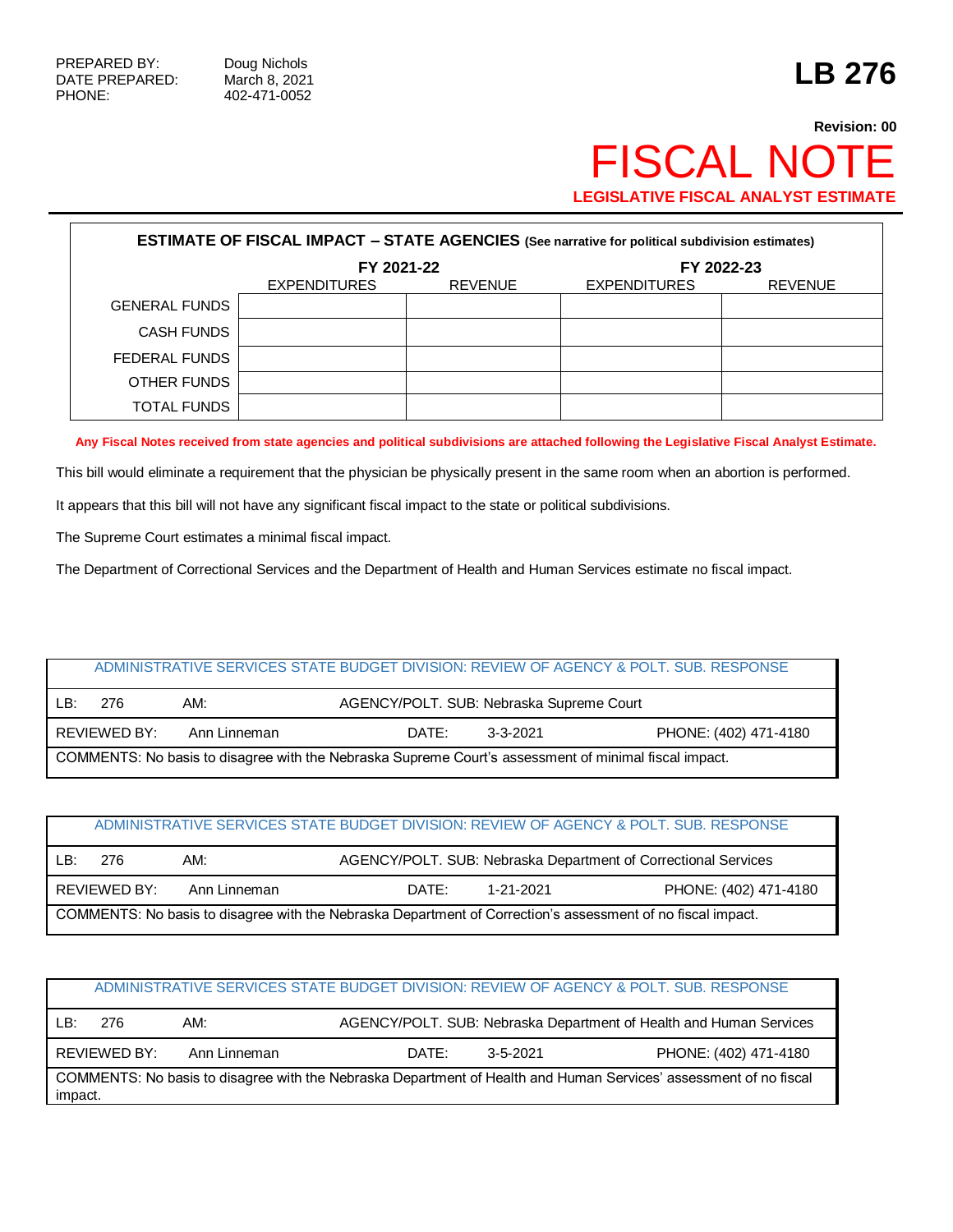# **Revision: 00** FISCAL NOTE **LEGISLATIVE FISCAL ANALYST ESTIMATE**

| <b>ESTIMATE OF FISCAL IMPACT - STATE AGENCIES (See narrative for political subdivision estimates)</b> |                     |                |                     |                |  |  |  |  |
|-------------------------------------------------------------------------------------------------------|---------------------|----------------|---------------------|----------------|--|--|--|--|
|                                                                                                       | FY 2022-23          |                |                     |                |  |  |  |  |
|                                                                                                       | <b>EXPENDITURES</b> | <b>REVENUE</b> | <b>EXPENDITURES</b> | <b>REVENUE</b> |  |  |  |  |
| <b>GENERAL FUNDS</b>                                                                                  |                     |                |                     |                |  |  |  |  |
| <b>CASH FUNDS</b>                                                                                     |                     |                |                     |                |  |  |  |  |
| FEDERAL FUNDS                                                                                         |                     |                |                     |                |  |  |  |  |
| OTHER FUNDS                                                                                           |                     |                |                     |                |  |  |  |  |
| <b>TOTAL FUNDS</b>                                                                                    |                     |                |                     |                |  |  |  |  |

**Any Fiscal Notes received from state agencies and political subdivisions are attached following the Legislative Fiscal Analyst Estimate.**

This bill would eliminate a requirement that the physician be physically present in the same room when an abortion is performed.

It appears that this bill will not have any significant fiscal impact to the state or political subdivisions.

The Supreme Court estimates a minimal fiscal impact.

The Department of Correctional Services and the Department of Health and Human Services estimate no fiscal impact.

| ADMINISTRATIVE SERVICES STATE BUDGET DIVISION: REVIEW OF AGENCY & POLT. SUB. RESPONSE                 |              |              |                                          |          |                       |  |  |
|-------------------------------------------------------------------------------------------------------|--------------|--------------|------------------------------------------|----------|-----------------------|--|--|
| ∣ B∙                                                                                                  | 276          | AM:          | AGENCY/POLT. SUB: Nebraska Supreme Court |          |                       |  |  |
|                                                                                                       | REVIEWED BY: | Ann Linneman | DATE:                                    | 3-3-2021 | PHONE: (402) 471-4180 |  |  |
| COMMENTS: No basis to disagree with the Nebraska Supreme Court's assessment of minimal fiscal impact. |              |              |                                          |          |                       |  |  |

| ADMINISTRATIVE SERVICES STATE BUDGET DIVISION: REVIEW OF AGENCY & POLT. SUB. RESPONSE                       |              |              |       |           |                                                                |  |  |
|-------------------------------------------------------------------------------------------------------------|--------------|--------------|-------|-----------|----------------------------------------------------------------|--|--|
| LB:                                                                                                         | 276          | AM:          |       |           | AGENCY/POLT. SUB: Nebraska Department of Correctional Services |  |  |
|                                                                                                             | REVIEWED BY: | Ann Linneman | DATE: | 1-21-2021 | PHONE: (402) 471-4180                                          |  |  |
| COMMENTS: No basis to disagree with the Nebraska Department of Correction's assessment of no fiscal impact. |              |              |       |           |                                                                |  |  |

| ADMINISTRATIVE SERVICES STATE BUDGET DIVISION: REVIEW OF AGENCY & POLT, SUB, RESPONSE                                        |              |              |       |          |                                                                    |  |  |
|------------------------------------------------------------------------------------------------------------------------------|--------------|--------------|-------|----------|--------------------------------------------------------------------|--|--|
| LB:                                                                                                                          | 276          | AM:          |       |          | AGENCY/POLT. SUB: Nebraska Department of Health and Human Services |  |  |
|                                                                                                                              | REVIEWED BY: | Ann Linneman | DATE: | 3-5-2021 | PHONE: (402) 471-4180                                              |  |  |
| COMMENTS: No basis to disagree with the Nebraska Department of Health and Human Services' assessment of no fiscal<br>impact. |              |              |       |          |                                                                    |  |  |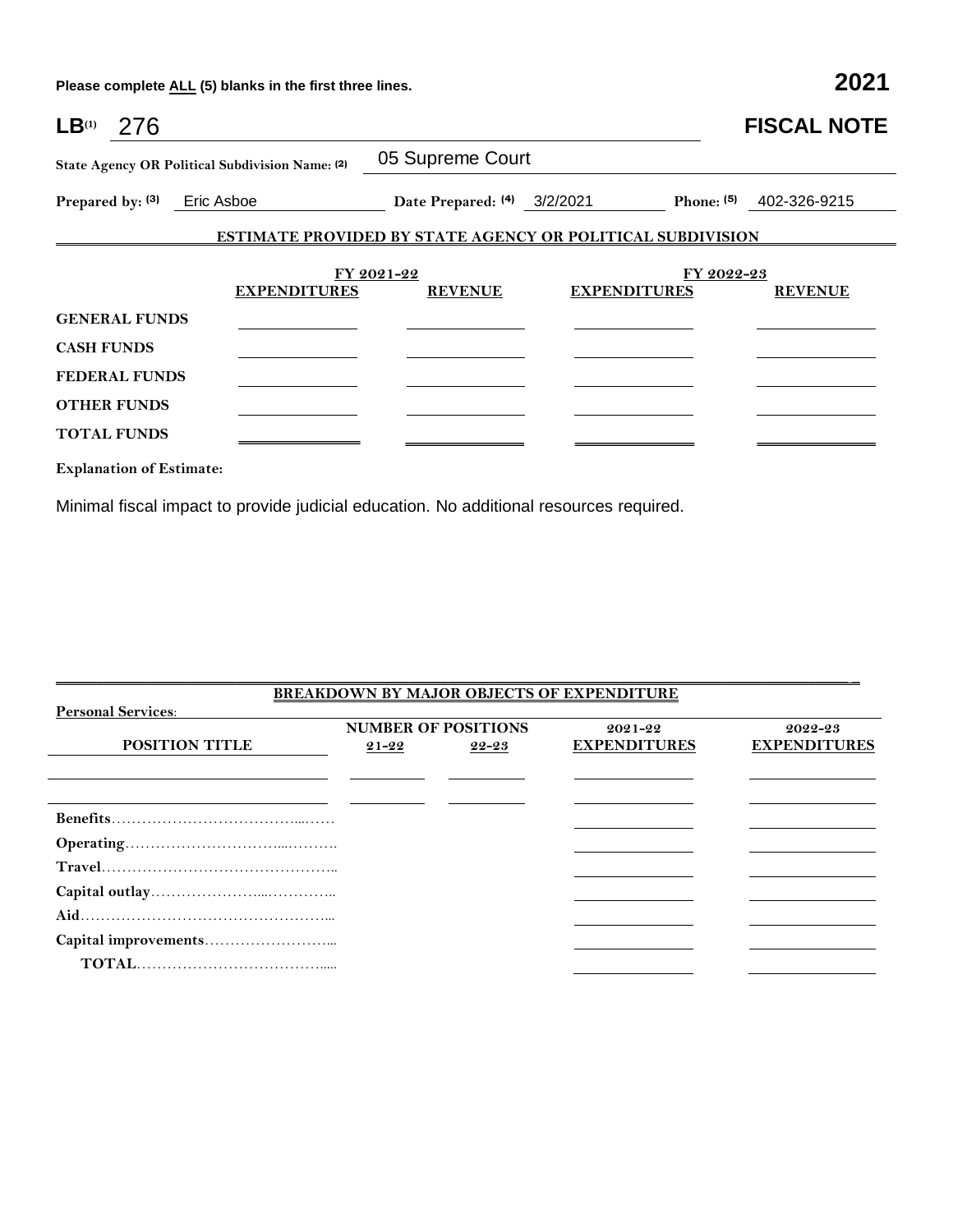**Please complete ALL (5) blanks in the first three lines. 2021**

| $LB^{(1)}$        | 276                             |                                                 |                             |                                                                   | <b>FISCAL NOTE</b>           |
|-------------------|---------------------------------|-------------------------------------------------|-----------------------------|-------------------------------------------------------------------|------------------------------|
|                   |                                 | State Agency OR Political Subdivision Name: (2) | 05 Supreme Court            |                                                                   |                              |
|                   |                                 | Prepared by: (3) Eric Asboe                     | Date Prepared: (4) 3/2/2021 |                                                                   | Phone: $(5)$<br>402-326-9215 |
|                   |                                 |                                                 |                             | <b>ESTIMATE PROVIDED BY STATE AGENCY OR POLITICAL SUBDIVISION</b> |                              |
|                   |                                 |                                                 |                             |                                                                   |                              |
|                   |                                 |                                                 | FY 2021-22                  |                                                                   | FY 2022-23                   |
|                   |                                 | <b>EXPENDITURES</b>                             | <b>REVENUE</b>              | <b>EXPENDITURES</b>                                               | <b>REVENUE</b>               |
|                   | <b>GENERAL FUNDS</b>            |                                                 |                             |                                                                   |                              |
| <b>CASH FUNDS</b> |                                 |                                                 |                             |                                                                   |                              |
|                   | <b>FEDERAL FUNDS</b>            |                                                 |                             |                                                                   |                              |
|                   | <b>OTHER FUNDS</b>              |                                                 |                             |                                                                   |                              |
|                   | <b>TOTAL FUNDS</b>              |                                                 |                             |                                                                   |                              |
|                   | <b>Explanation of Estimate:</b> |                                                 |                             |                                                                   |                              |

Minimal fiscal impact to provide judicial education. No additional resources required.

| <b>BREAKDOWN BY MAJOR OBJECTS OF EXPENDITURE</b> |                            |       |                     |                     |  |  |  |  |
|--------------------------------------------------|----------------------------|-------|---------------------|---------------------|--|--|--|--|
| <b>Personal Services:</b>                        |                            |       |                     |                     |  |  |  |  |
|                                                  | <b>NUMBER OF POSITIONS</b> |       | 2021-22             | 2022-23             |  |  |  |  |
| <b>POSITION TITLE</b>                            | $21 - 22$                  | 22-23 | <b>EXPENDITURES</b> | <b>EXPENDITURES</b> |  |  |  |  |
|                                                  |                            |       |                     |                     |  |  |  |  |
|                                                  |                            |       |                     |                     |  |  |  |  |
|                                                  |                            |       |                     |                     |  |  |  |  |
|                                                  |                            |       |                     |                     |  |  |  |  |
|                                                  |                            |       |                     |                     |  |  |  |  |
|                                                  |                            |       |                     |                     |  |  |  |  |
|                                                  |                            |       |                     |                     |  |  |  |  |
|                                                  |                            |       |                     |                     |  |  |  |  |
|                                                  |                            |       |                     |                     |  |  |  |  |

\_\_\_\_\_\_\_\_\_\_\_\_\_\_\_\_\_\_\_\_\_\_\_\_\_\_\_\_\_\_\_\_\_\_\_\_\_\_\_\_\_\_\_\_\_\_\_\_\_\_\_\_\_\_\_\_\_\_\_\_\_\_\_\_\_\_\_\_\_\_\_\_\_\_\_\_\_\_\_\_\_\_\_\_\_\_\_\_\_\_\_\_\_\_\_\_\_\_\_\_\_ \_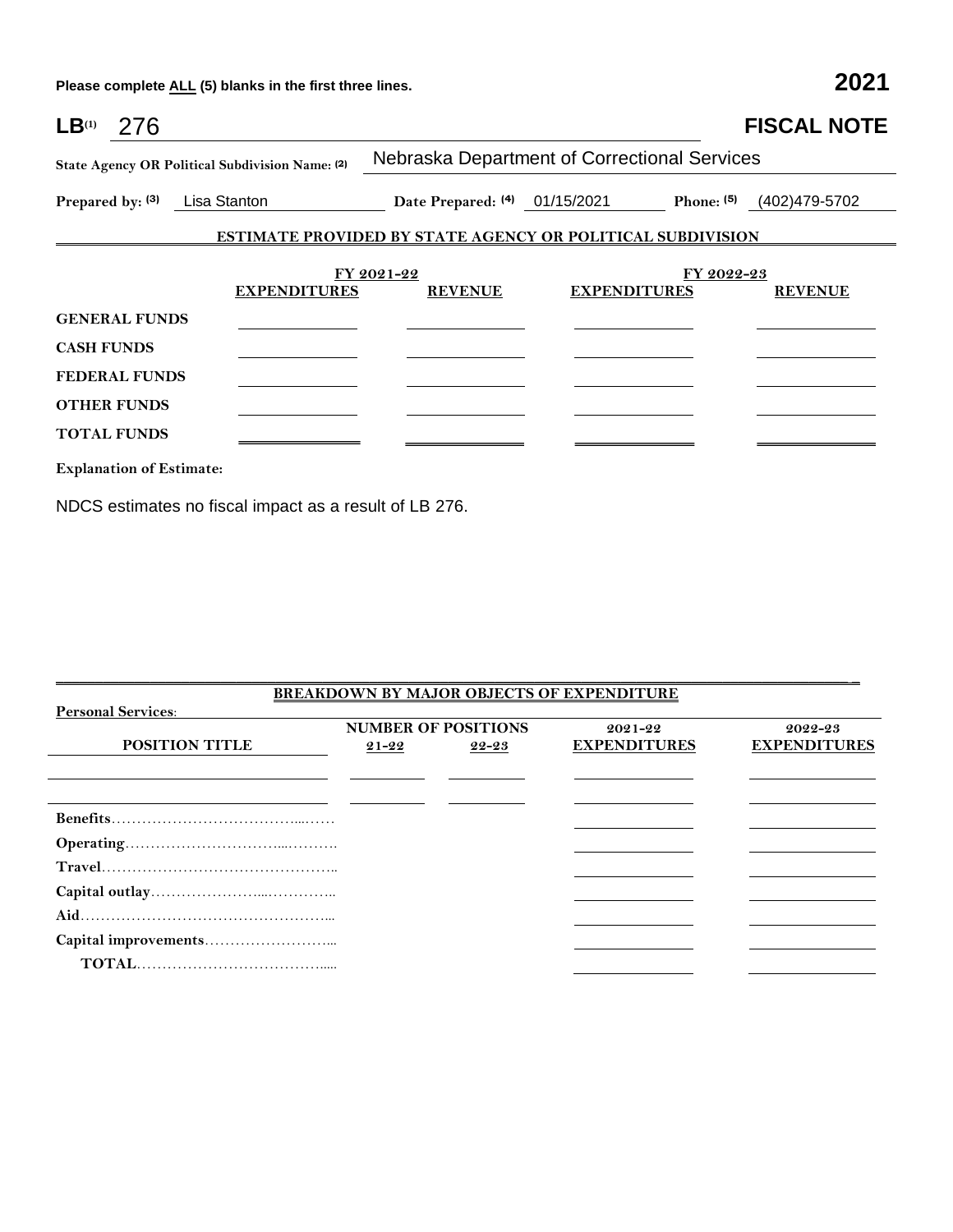**Please complete ALL (5) blanks in the first three lines. 2021**

| $LB^{(1)}$                                      | -276                            |                               |                                                                   |                     |            | <b>FISCAL NOTE</b> |  |  |
|-------------------------------------------------|---------------------------------|-------------------------------|-------------------------------------------------------------------|---------------------|------------|--------------------|--|--|
| State Agency OR Political Subdivision Name: (2) |                                 |                               | Nebraska Department of Correctional Services                      |                     |            |                    |  |  |
|                                                 |                                 | Prepared by: (3) Lisa Stanton | Date Prepared: (4) 01/15/2021 Phone: (5) (402)479-5702            |                     |            |                    |  |  |
|                                                 |                                 |                               | <b>ESTIMATE PROVIDED BY STATE AGENCY OR POLITICAL SUBDIVISION</b> |                     |            |                    |  |  |
|                                                 |                                 | <b>EXPENDITURES</b>           | FY 2021-22<br><b>REVENUE</b>                                      | <b>EXPENDITURES</b> | FY 2022-23 | <b>REVENUE</b>     |  |  |
|                                                 | <b>GENERAL FUNDS</b>            |                               |                                                                   |                     |            |                    |  |  |
| <b>CASH FUNDS</b>                               |                                 |                               |                                                                   |                     |            |                    |  |  |
|                                                 | <b>FEDERAL FUNDS</b>            |                               |                                                                   |                     |            |                    |  |  |
|                                                 | <b>OTHER FUNDS</b>              |                               |                                                                   |                     |            |                    |  |  |
|                                                 | <b>TOTAL FUNDS</b>              |                               |                                                                   |                     |            |                    |  |  |
|                                                 | <b>Explanation of Estimate:</b> |                               |                                                                   |                     |            |                    |  |  |

NDCS estimates no fiscal impact as a result of LB 276.

| <b>BREAKDOWN BY MAJOR OBJECTS OF EXPENDITURE</b> |                            |       |                     |                     |  |  |  |  |
|--------------------------------------------------|----------------------------|-------|---------------------|---------------------|--|--|--|--|
| <b>Personal Services:</b>                        |                            |       |                     |                     |  |  |  |  |
|                                                  | <b>NUMBER OF POSITIONS</b> |       | $2021 - 22$         | 2022-23             |  |  |  |  |
| <b>POSITION TITLE</b>                            | $21 - 22$                  | 22-23 | <b>EXPENDITURES</b> | <b>EXPENDITURES</b> |  |  |  |  |
|                                                  |                            |       |                     |                     |  |  |  |  |
|                                                  |                            |       |                     |                     |  |  |  |  |
|                                                  |                            |       |                     |                     |  |  |  |  |
|                                                  |                            |       |                     |                     |  |  |  |  |
|                                                  |                            |       |                     |                     |  |  |  |  |
|                                                  |                            |       |                     |                     |  |  |  |  |
|                                                  |                            |       |                     |                     |  |  |  |  |
|                                                  |                            |       |                     |                     |  |  |  |  |
|                                                  |                            |       |                     |                     |  |  |  |  |
|                                                  |                            |       |                     |                     |  |  |  |  |

\_\_\_\_\_\_\_\_\_\_\_\_\_\_\_\_\_\_\_\_\_\_\_\_\_\_\_\_\_\_\_\_\_\_\_\_\_\_\_\_\_\_\_\_\_\_\_\_\_\_\_\_\_\_\_\_\_\_\_\_\_\_\_\_\_\_\_\_\_\_\_\_\_\_\_\_\_\_\_\_\_\_\_\_\_\_\_\_\_\_\_\_\_\_\_\_\_\_\_\_\_ \_